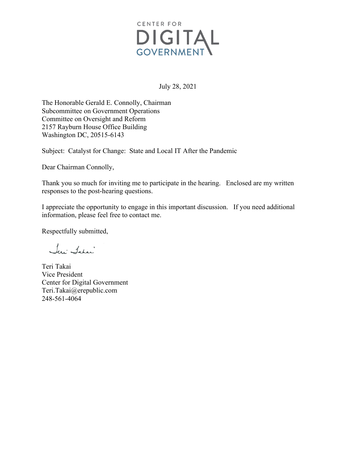

July 28, 2021

The Honorable Gerald E. Connolly, Chairman Subcommittee on Government Operations Committee on Oversight and Reform 2157 Rayburn House Office Building Washington DC, 20515-6143

Subject: Catalyst for Change: State and Local IT After the Pandemic

Dear Chairman Connolly,

Thank you so much for inviting me to participate in the hearing. Enclosed are my written responses to the post-hearing questions.

I appreciate the opportunity to engage in this important discussion. If you need additional information, please feel free to contact me.

Respectfully submitted,

Jeri Sahar

Teri Takai Vice President Center for Digital Government [Teri.Takai@erepublic.com](mailto:Teri.Takai@erepublic.com) 248-561-4064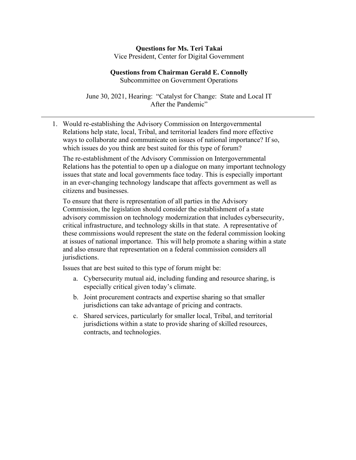## **Questions for Ms. Teri Takai** Vice President, Center for Digital Government

## **Questions from Chairman Gerald E. Connolly**

Subcommittee on Government Operations

June 30, 2021, Hearing: "Catalyst for Change: State and Local IT After the Pandemic"

1. Would re-establishing the Advisory Commission on Intergovernmental Relations help state, local, Tribal, and territorial leaders find more effective ways to collaborate and communicate on issues of national importance? If so, which issues do you think are best suited for this type of forum?

The re-establishment of the Advisory Commission on Intergovernmental Relations has the potential to open up a dialogue on many important technology issues that state and local governments face today. This is especially important in an ever-changing technology landscape that affects government as well as citizens and businesses.

To ensure that there is representation of all parties in the Advisory Commission, the legislation should consider the establishment of a state advisory commission on technology modernization that includes cybersecurity, critical infrastructure, and technology skills in that state. A representative of these commissions would represent the state on the federal commission looking at issues of national importance. This will help promote a sharing within a state and also ensure that representation on a federal commission considers all jurisdictions.

Issues that are best suited to this type of forum might be:

- a. Cybersecurity mutual aid, including funding and resource sharing, is especially critical given today's climate.
- b. Joint procurement contracts and expertise sharing so that smaller jurisdictions can take advantage of pricing and contracts.
- c. Shared services, particularly for smaller local, Tribal, and territorial jurisdictions within a state to provide sharing of skilled resources, contracts, and technologies.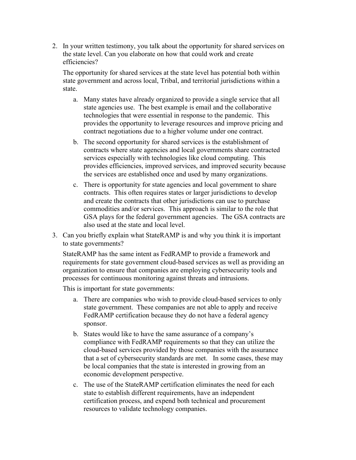2. In your written testimony, you talk about the opportunity for shared services on the state level. Can you elaborate on how that could work and create efficiencies?

The opportunity for shared services at the state level has potential both within state government and across local, Tribal, and territorial jurisdictions within a state.

- a. Many states have already organized to provide a single service that all state agencies use. The best example is email and the collaborative technologies that were essential in response to the pandemic. This provides the opportunity to leverage resources and improve pricing and contract negotiations due to a higher volume under one contract.
- b. The second opportunity for shared services is the establishment of contracts where state agencies and local governments share contracted services especially with technologies like cloud computing. This provides efficiencies, improved services, and improved security because the services are established once and used by many organizations.
- c. There is opportunity for state agencies and local government to share contracts. This often requires states or larger jurisdictions to develop and create the contracts that other jurisdictions can use to purchase commodities and/or services. This approach is similar to the role that GSA plays for the federal government agencies. The GSA contracts are also used at the state and local level.
- 3. Can you briefly explain what StateRAMP is and why you think it is important to state governments?

StateRAMP has the same intent as FedRAMP to provide a framework and requirements for state government cloud-based services as well as providing an organization to ensure that companies are employing cybersecurity tools and processes for continuous monitoring against threats and intrusions.

This is important for state governments:

- a. There are companies who wish to provide cloud-based services to only state government. These companies are not able to apply and receive FedRAMP certification because they do not have a federal agency sponsor.
- b. States would like to have the same assurance of a company's compliance with FedRAMP requirements so that they can utilize the cloud-based services provided by those companies with the assurance that a set of cybersecurity standards are met. In some cases, these may be local companies that the state is interested in growing from an economic development perspective.
- c. The use of the StateRAMP certification eliminates the need for each state to establish different requirements, have an independent certification process, and expend both technical and procurement resources to validate technology companies.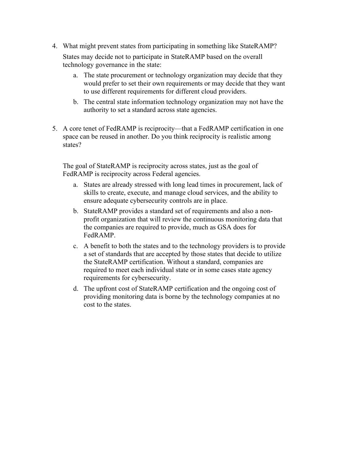4. What might prevent states from participating in something like StateRAMP?

States may decide not to participate in StateRAMP based on the overall technology governance in the state:

- a. The state procurement or technology organization may decide that they would prefer to set their own requirements or may decide that they want to use different requirements for different cloud providers.
- b. The central state information technology organization may not have the authority to set a standard across state agencies.
- 5. A core tenet of FedRAMP is reciprocity—that a FedRAMP certification in one space can be reused in another. Do you think reciprocity is realistic among states?

The goal of StateRAMP is reciprocity across states, just as the goal of FedRAMP is reciprocity across Federal agencies.

- a. States are already stressed with long lead times in procurement, lack of skills to create, execute, and manage cloud services, and the ability to ensure adequate cybersecurity controls are in place.
- b. StateRAMP provides a standard set of requirements and also a nonprofit organization that will review the continuous monitoring data that the companies are required to provide, much as GSA does for FedRAMP.
- c. A benefit to both the states and to the technology providers is to provide a set of standards that are accepted by those states that decide to utilize the StateRAMP certification. Without a standard, companies are required to meet each individual state or in some cases state agency requirements for cybersecurity.
- d. The upfront cost of StateRAMP certification and the ongoing cost of providing monitoring data is borne by the technology companies at no cost to the states.